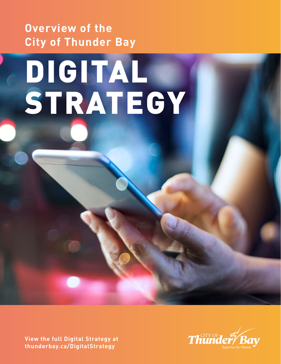**Overview of the City of Thunder Bay** 

# DIGITAL STRATEGY

**View the full Digital Strategy at [thunderbay.ca/DigitalStrategy](http://thunderbay.ca/DigitalStrategy)** 

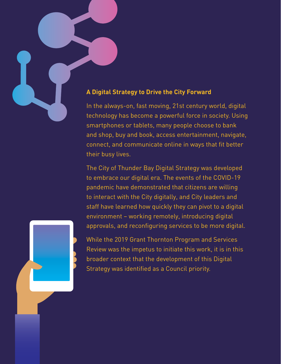#### **A Digital Strategy to Drive the City Forward**

In the always-on, fast moving, 21st century world, digital technology has become a powerful force in society. Using smartphones or tablets, many people choose to bank and shop, buy and book, access entertainment, navigate, connect, and communicate online in ways that fit better their busy lives.

The City of Thunder Bay Digital Strategy was developed to embrace our digital era. The events of the COVID-19 pandemic have demonstrated that citizens are willing to interact with the City digitally, and City leaders and staff have learned how quickly they can pivot to a digital environment – working remotely, introducing digital approvals, and reconfiguring services to be more digital.

While the 2019 Grant Thornton Program and Services Review was the impetus to initiate this work, it is in this broader context that the development of this Digital Strategy was identified as a Council priority.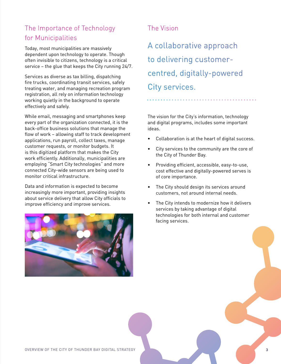# The Importance of Technology for Municipalities

Today, most municipalities are massively dependent upon technology to operate. Though often invisible to citizens, technology is a critical service – the glue that keeps the City running 24/7.

Services as diverse as tax billing, dispatching fire trucks, coordinating transit services, safely treating water, and managing recreation program registration, all rely on information technology working quietly in the background to operate effectively and safely.

While email, messaging and smartphones keep every part of the organization connected, it is the back-office business solutions that manage the flow of work – allowing staff to track development applications, run payroll, collect taxes, manage customer requests, or monitor budgets. It is this digitized platform that makes the City work efficiently. Additionally, municipalities are employing "Smart City technologies" and more connected City-wide sensors are being used to monitor critical infrastructure.

Data and information is expected to become increasingly more important, providing insights about service delivery that allow City officials to improve efficiency and improve services.



## The Vision

A collaborative approach to delivering customercentred, digitally-powered City services.

The vision for the City's information, technology and digital programs, includes some important ideas.

- Collaboration is at the heart of digital success.
- City services to the community are the core of the City of Thunder Bay.
- Providing efficient, accessible, easy-to-use, cost effective and digitally-powered serves is of core importance.
- The City should design its services around customers, not around internal needs.
- The City intends to modernize how it delivers services by taking advantage of digital technologies for both internal and customer facing services.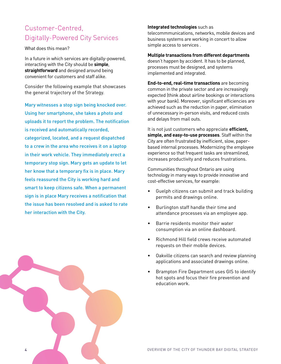# Customer-Centred, Digitally-Powered City Services

What does this mean?

In a future in which services are digitally-powered, interacting with the City should be **simple**, **straightforward** and designed around being convenient for customers and staff alike.

Consider the following example that showcases the general trajectory of the Strategy.

Mary witnesses a stop sign being knocked over. Using her smartphone, she takes a photo and uploads it to report the problem. The notification is received and automatically recorded, categorized, located, and a request dispatched to a crew in the area who receives it on a laptop in their work vehicle. They immediately erect a temporary stop sign. Mary gets an update to let her know that a temporary fix is in place. Mary feels reassured the City is working hard and smart to keep citizens safe. When a permanent sign is in place Mary receives a notification that the issue has been resolved and is asked to rate her interaction with the City.



#### **Integrated technologies** such as

telecommmunications, networks, mobile devices and business systems are working in concert to allow simple access to services .

#### **Multiple transactions from different departments**

doesn't happen by accident. It has to be planned, processes must be designed, and systems implemented and integrated.

**End-to-end, real-time transactions** are becoming common in the private sector and are increasingly expected (think about airline bookings or interactions with your bank). Moreover, significant efficiencies are achieved such as the reduction in paper, elimination of unnecessary in-person visits, and reduced costs and delays from mail outs.

It is not just customers who appreciate **efficient, simple, and easy-to-use processes**. Staff within the City are often frustrated by inefficient, slow, paperbased internal processes. Modernizing the employee experience so that frequent tasks are streamlined, increases productivity and reduces frustrations.

Communities throughout Ontario are using technology in many ways to provide innovative and cost-effective services, for example:

- Guelph citizens can submit and track building permits and drawings online.
- Burlington staff handle their time and attendance processes via an employee app.
- Barrie residents monitor their water consumption via an online dashboard.
- Richmond Hill field crews receive automated requests on their mobile devices.
- Oakville citizens can search and review planning applications and associated drawings online.
- Brampton Fire Department uses GIS to identify hot spots and focus their fire prevention and education work.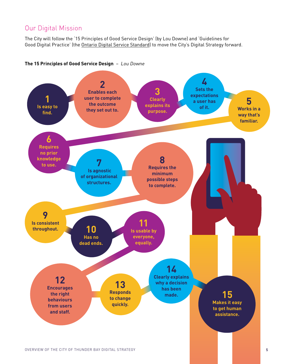# Our Digital Mission

The City will follow the '15 Principles of Good Service Design' (by Lou Downe) and 'Guidelines for Good Digital Practice' (the [Ontario Digital Service Standard\)](http://www.ontario.ca/page/digital-service-standard) to move the City's Digital Strategy forward.

#### **The 15 Principles of Good Service Design** – Lou Downe

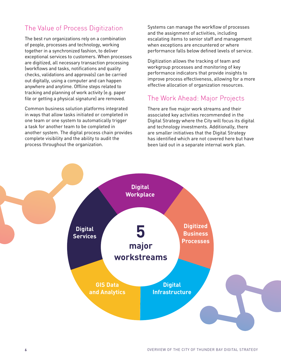# The Value of Process Digitization

The best run organizations rely on a combination of people, processes and technology, working together in a synchronized fashion, to deliver exceptional services to customers. When processes are digitized, all necessary transaction processing (workflows and tasks, notifications and quality checks, validations and approvals) can be carried out digitally, using a computer and can happen anywhere and anytime. Offline steps related to tracking and planning of work activity (e.g. paper file or getting a physical signature) are removed.

Common business solution platforms integrated in ways that allow tasks initiated or completed in one team or one system to automatically trigger a task for another team to be completed in another system. The digital process chain provides complete visibility and the ability to audit the process throughout the organization.

Systems can manage the workflow of processes and the assignment of activities, including escalating items to senior staff and management when exceptions are encountered or where performance falls below defined levels of service.

Digitization allows the tracking of team and workgroup processes and monitoring of key performance indicators that provide insights to improve process effectiveness, allowing for a more effective allocation of organization resources.

### The Work Ahead: Major Projects

There are five major work streams and their associated key activities recommended in the Digital Strategy where the City will focus its digital and technology investments. Additionally, there are smaller initiatives that the Digital Strategy has identified which are not covered here but have been laid out in a separate internal work plan.

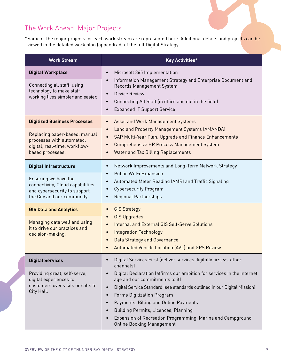# The Work Ahead: Major Projects

\*Some of the major projects for each work stream are represented here. Additional details and projects can be viewed in the detailed work plan (appendix d) of the full [Digital Strategy](http://www.thunderbay.ca/DigitalStrategy).

| <b>Work Stream</b>                                                                                                      | <b>Key Activities*</b>                                                                                                                                                                                                                                                                                                                                                                                                                       |
|-------------------------------------------------------------------------------------------------------------------------|----------------------------------------------------------------------------------------------------------------------------------------------------------------------------------------------------------------------------------------------------------------------------------------------------------------------------------------------------------------------------------------------------------------------------------------------|
| <b>Digital Workplace</b>                                                                                                | Microsoft 365 Implementation<br>$\bullet$                                                                                                                                                                                                                                                                                                                                                                                                    |
| Connecting all staff, using<br>technology to make staff<br>working lives simpler and easier.                            | Information Management Strategy and Enterprise Document and<br>$\bullet$<br>Records Management System<br>Device Review<br>$\bullet$<br>Connecting All Staff (in office and out in the field)<br><b>Expanded IT Support Service</b>                                                                                                                                                                                                           |
| <b>Digitized Business Processes</b>                                                                                     | Asset and Work Management Systems                                                                                                                                                                                                                                                                                                                                                                                                            |
| Replacing paper-based, manual<br>processes with automated,<br>digital, real-time, workflow-<br>based processes.         | Land and Property Management Systems (AMANDA)<br>$\bullet$<br>SAP Multi-Year Plan, Upgrade and Finance Enhancements<br><b>Comprehensive HR Process Management System</b><br><b>Water and Tax Billing Replacements</b>                                                                                                                                                                                                                        |
| <b>Digital Infrastructure</b>                                                                                           | Network Improvements and Long-Term Network Strategy<br>$\bullet$<br>Public Wi-Fi Expansion<br>$\bullet$<br>Automated Meter Reading (AMR) and Traffic Signaling<br>$\bullet$<br><b>Cybersecurity Program</b><br>$\bullet$<br><b>Regional Partnerships</b>                                                                                                                                                                                     |
| Ensuring we have the<br>connectivity, Cloud capabilities<br>and cybersecurity to support<br>the City and our community. |                                                                                                                                                                                                                                                                                                                                                                                                                                              |
| <b>GIS Data and Analytics</b>                                                                                           | <b>GIS Strategy</b><br><b>GIS Upgrades</b><br>$\bullet$<br>Internal and External GIS Self-Serve Solutions<br>$\bullet$<br><b>Integration Technology</b><br>$\bullet$<br><b>Data Strategy and Governance</b><br><b>Automated Vehicle Location (AVL) and GPS Review</b>                                                                                                                                                                        |
| Managing data well and using<br>it to drive our practices and<br>decision-making.                                       |                                                                                                                                                                                                                                                                                                                                                                                                                                              |
| <b>Digital Services</b>                                                                                                 | Digital Services First (deliver services digitally first vs. other<br>channels)                                                                                                                                                                                                                                                                                                                                                              |
| Providing great, self-serve,<br>digital experiences to<br>customers over visits or calls to<br>City Hall.               | Digital Declaration (affirms our ambition for services in the internet<br>age and our commitments to it)<br>Digital Service Standard (see standards outlined in our Digital Mission)<br>$\bullet$<br>Forms Digitization Program<br>$\bullet$<br>Payments, Billing and Online Payments<br>Building Permits, Licences, Planning<br>Expansion of Recreation Programming, Marina and Campground<br>$\bullet$<br><b>Online Booking Management</b> |